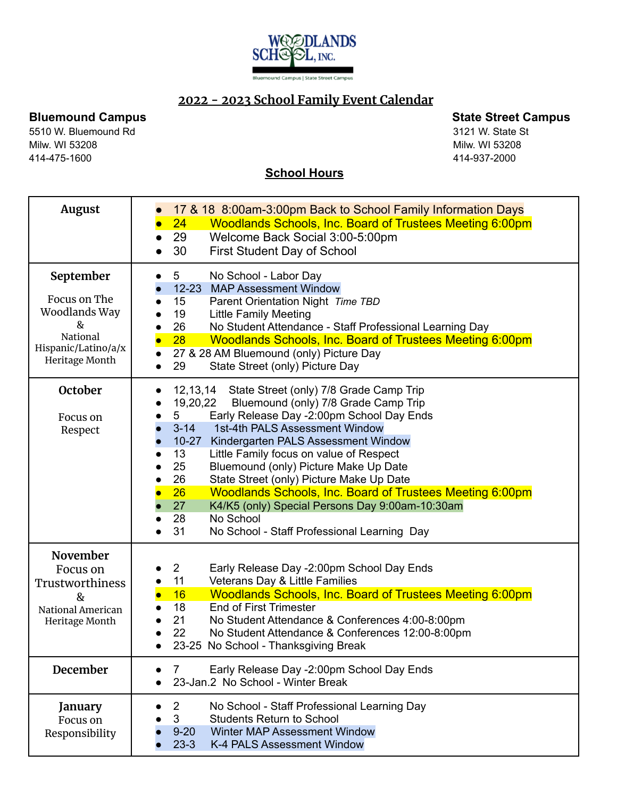

## **2022 - 2023 School Family Event Calendar**

5510 W. Bluemound Rd 3121 W. State St Milw. WI 53208 Milw. WI 53208 414-475-1600 414-937-2000

**Bluemound Campus State Street Campus**

## **School Hours**

| August                                                                                               | 17 & 18 8:00am-3:00pm Back to School Family Information Days<br>Woodlands Schools, Inc. Board of Trustees Meeting 6:00pm<br>24<br>29<br>Welcome Back Social 3:00-5:00pm<br>30<br><b>First Student Day of School</b>                                                                                                                                                                                                                                                                                                                                                                                                  |
|------------------------------------------------------------------------------------------------------|----------------------------------------------------------------------------------------------------------------------------------------------------------------------------------------------------------------------------------------------------------------------------------------------------------------------------------------------------------------------------------------------------------------------------------------------------------------------------------------------------------------------------------------------------------------------------------------------------------------------|
| September<br>Focus on The<br>Woodlands Way<br>&<br>National<br>Hispanic/Latino/a/x<br>Heritage Month | 5 <sup>5</sup><br>No School - Labor Day<br>12-23 MAP Assessment Window<br>15<br>Parent Orientation Night Time TBD<br>19<br><b>Little Family Meeting</b><br>No Student Attendance - Staff Professional Learning Day<br>26<br>$\bullet$<br>28<br><b>Woodlands Schools, Inc. Board of Trustees Meeting 6:00pm</b><br>27 & 28 AM Bluemound (only) Picture Day<br>State Street (only) Picture Day<br>29                                                                                                                                                                                                                   |
| October<br>Focus on<br>Respect                                                                       | 12,13,14 State Street (only) 7/8 Grade Camp Trip<br>19,20,22<br>Bluemound (only) 7/8 Grade Camp Trip<br>Early Release Day -2:00pm School Day Ends<br>5<br>$3 - 14$<br>1st-4th PALS Assessment Window<br>$10 - 27$<br>Kindergarten PALS Assessment Window<br>13<br>Little Family focus on value of Respect<br>Bluemound (only) Picture Make Up Date<br>25<br>State Street (only) Picture Make Up Date<br>26<br><b>Woodlands Schools, Inc. Board of Trustees Meeting 6:00pm</b><br>26<br>27<br>K4/K5 (only) Special Persons Day 9:00am-10:30am<br>No School<br>28<br>31<br>No School - Staff Professional Learning Day |
| November<br>Focus on<br>Trustworthiness<br>&<br>National American<br>Heritage Month<br>December      | Early Release Day -2:00pm School Day Ends<br>$\overline{2}$<br>11<br>Veterans Day & Little Families<br><b>Woodlands Schools, Inc. Board of Trustees Meeting 6:00pm</b><br>16<br><b>End of First Trimester</b><br>18<br>21<br>No Student Attendance & Conferences 4:00-8:00pm<br>22<br>No Student Attendance & Conferences 12:00-8:00pm<br>23-25 No School - Thanksgiving Break<br>Early Release Day -2:00pm School Day Ends<br>7                                                                                                                                                                                     |
| January<br>Focus on<br>Responsibility                                                                | 23-Jan.2 No School - Winter Break<br>$\overline{2}$<br>No School - Staff Professional Learning Day<br>3<br><b>Students Return to School</b><br>Winter MAP Assessment Window<br>$9 - 20$<br>K-4 PALS Assessment Window<br>$23 - 3$                                                                                                                                                                                                                                                                                                                                                                                    |